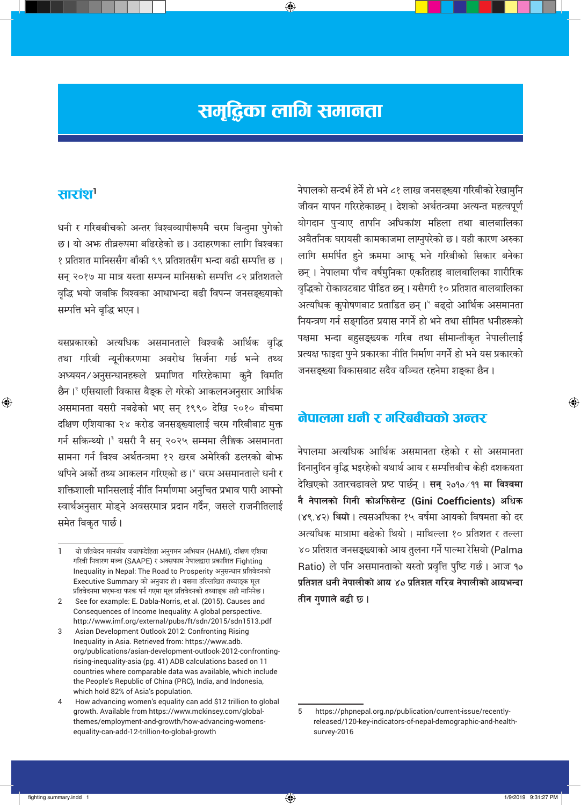# समृद्धिका लागि समानता

⊕

## सारांश'

⊕

धनी र गरिबबीचको अन्तर विश्वव्यापीरूपमै चरम विन्दुमा पुगेको छ। यो अभ तीव्ररूपमा बढिरहेको छ। उदाहरणका लागि विश्वका १ प्रतिशत मानिससँग बाँकी ९९ प्रतिशतसँग भन्दा बढी सम्पत्ति छ । सन् २०१७ मा मात्र यस्ता सम्पन्न मानिसको सम्पत्ति ८२ प्रतिशतले वृद्धि भयो जबकि विश्वका आधाभन्दा बढी विपन्न जनसङ्ख्याको सम्पत्ति भने वृद्धि भएन।

यसप्रकारको अत्यधिक असमानताले विश्वकै आर्थिक वृद्धि तथा गरिबी न्यूनीकरणमा अवरोध सिर्जना गर्छ भन्ने तथ्य अध्ययन/अनुसन्धानहरूले प्रमाणित गरिरहेकामा कुनै विमति छैन।<sup>२</sup> एसियाली विकास बैङ्क ले गरेको आकलनअनुसार आर्थिक असमानता यसरी नबढेको भए सन् १९९० देखि २०१० बीचमा दक्षिण एशियाका २४ करोड जनसङ्ख्यालाई चरम गरिबीबाट मुक्त गर्न सकिन्थ्यो ।<sup>३</sup> यसरी नै सन् २०२५ सम्ममा लैङ्गिक असमानता सामना गर्न विश्व अर्थतन्त्रमा १२ खरब अमेरिकी डलरको बोभ्र थपिने अर्को तथ्य आकलन गरिएको छ।<sup>४</sup> चरम असमानताले धनी र शक्तिशाली मानिसलाई नीति निर्माणमा अनुचित प्रभाव पारी आफ्नो स्वार्थअनुसार मोड्ने अवसरमात्र प्रदान गर्दैन, जसले राजनीतिलाई समेत विकृत पार्छ।

नेपालको सन्दर्भ हेर्ने हो भने ८१ लाख जनसङ्ख्या गरिबीको रेखामुनि जीवन यापन गरिरहेकाछन् । देशको अर्थतन्त्रमा अत्यन्त महत्वपूर्ण योगदान पुऱ्याए तापनि अधिकांश महिला तथा बालबालिका अवैतनिक घरायसी कामकाजमा लाग्नुपरेको छ। यही कारण अरुका लागि समर्पित हुने ऋममा आफू भने गरिबीको सिकार बनेका छन् । नेपालमा पाँच वर्षमुनिका एकतिहाइ बालबालिका शारीरिक वृद्धिको रोकावटबाट पीडित छन्। यसैगरी १० प्रतिशत बालबालिका अत्यधिक कुपोषणबाट प्रताडित छन्।' बढ्दो आर्थिक असमानता नियन्त्रण गर्न सङ्गठित प्रयास नगर्ने हो भने तथा सीमित धनीहरूको पक्षमा भन्दा बहुसङ्ख्यक गरिब तथा सीमान्तीकृत नेपालीलाई प्रत्यक्ष फाइदा पुग्ने प्रकारका नीति निर्माण नगर्ने हो भने यस प्रकारको जनसङ्ख्या विकासबाट सदैव वञ्चित रहनेमा शङ्का छैन।

## नेपालमा धनी र गरिबबीचको अन्तर

नेपालमा अत्यधिक आर्थिक असमानता रहेको र सो असमानता दिनानुदिन वृद्धि भइरहेको यथार्थ आय र सम्पत्तिबीच केही दशकयता देखिएको उतारचढावले प्रष्ट पार्छन् । **सन् २०१०**⁄99 **मा विश्वमा** नै नेपालको गिनी कोअफिसेन्ट (Gini Coefficients) अधिक (४९.४२) थियो। त्यसअधिका १५ वर्षमा आयको विषमता को दर अत्यधिक मात्रामा बढेको थियो। माथिल्ला १० प्रतिशत र तल्ला ४० प्रतिशत जनसङ्ख्याको आय तुलना गर्ने पाल्मा रेसियो (Palma Ratio) ले पनि असमानताको यस्तो प्रवृत्ति पुष्टि गर्छ। आज १० प्रतिशत धनी नेपालीको आय ४० प्रतिशत गरिब नेपालीको आयभन्दा तीन गुणाले बढी छ।

 $\bigoplus$ 

1/9/2019 9:31:27 PM

 $\overline{1}$ यो प्रतिवेदन मानवीय जवाफदेहिता अनुगमन अभियान (HAMI), दक्षिण एशिया गरिवी निवारण मञ्च (SAAPE) र अक्सफाम नेपालद्वारा प्रकाशित Fighting Inequality in Nepal: The Road to Prosperity अनुसन्धान प्रतिवेदनको Executive Summary को अनुवाद हो। यसमा उल्लिखित तथ्याङ्क मूल प्रतिवेदनमा भएभन्दा फरक पर्न गएमा मूल प्रतिवेदनको तथ्याङ्क सही मानिनेछ।

See for example: E. Dabla-Norris, et al. (2015). Causes and  $\overline{2}$ Consequences of Income Inequality: A global perspective. http://www.imf.org/external/pubs/ft/sdn/2015/sdn1513.pdf

Asian Development Outlook 2012: Confronting Rising 3 Inequality in Asia. Retrieved from: https://www.adb. org/publications/asian-development-outlook-2012-confrontingrising-inequality-asia (pg. 41) ADB calculations based on 11 countries where comparable data was available, which include the People's Republic of China (PRC), India, and Indonesia, which hold 82% of Asia's population.

How advancing women's equality can add \$12 trillion to global  $\overline{\mathbf{A}}$ growth. Available from https://www.mckinsey.com/globalthemes/employment-and-growth/how-advancing-womensequality-can-add-12-trillion-to-global-growth

 $\sqrt{5}$ https://phpnepal.org.np/publication/current-issue/recentlyreleased/120-key-indicators-of-nepal-demographic-and-healthsurvey-2016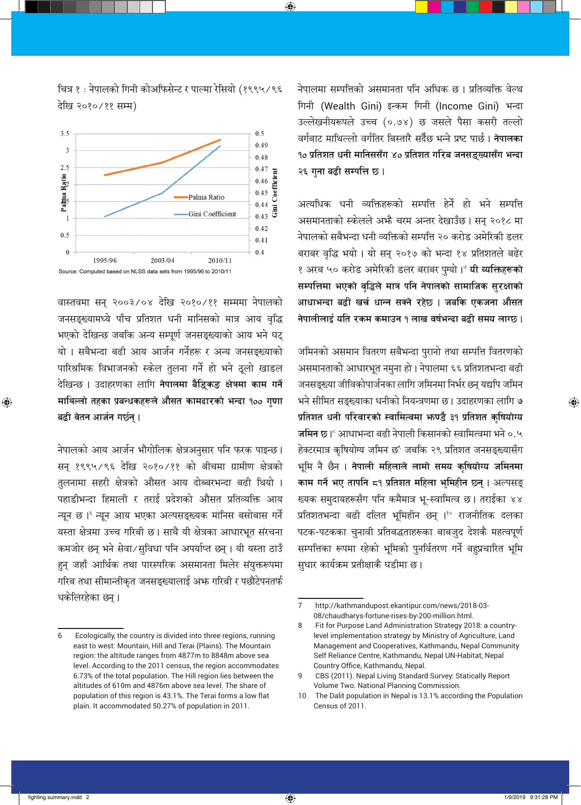नेपालमा सम्पत्तिको असमानता पनि अधिक छ। प्रतिव्यक्ति वेल्थ गिनी (Wealth Gini) इन्कम गिनी (Income Gini) भन्दा उल्लेखनीयरूपले उच्च (०.७४) छ जसले पैसा कसरी तल्लो वर्गबाट माथिल्लो वर्गतिर बिस्तारै सर्दैछ भन्ने प्रष्ट पार्छ। **नेपालका** <u>१० प्रतिशत धनी मानिससँग ४० प्रतिशत गरिब जनसङ्ख्यासँग भन्दा</u> २६ गुना बढी सम्पत्ति छ।

अत्यधिक धनी व्यक्तिहरूको सम्पत्ति हेर्ने हो भने सम्पत्ति असमानताको स्केलले अभै चरम अन्तर देखाउँछ। सन् २०१८ मा नेपालको सबैभन्दा धनी व्यक्तिको सम्पत्ति २० करोड अमेरिकी डलर बराबर वृद्धि भयो। यो सन् २०१७ को भन्दा १४ प्रतिशतले बढेर १ अरब ५० करोड अमेरिकी डलर बराबर पुग्यो।° **यी व्यक्तिहरूको** सम्पत्तिमा भएको वृद्धिले मात्र पनि नेपालको सामाजिक सुरक्षाको आधाभन्दा बढी खर्च धान्न सक्ने रहेछ । जबकि एकजना औसत नेपालीलाई यति रकम कमाउन १ लाख वर्षभन्दा बढी समय लाग्छ ।

जमिनको असमान वितरण सबैभन्दा पुरानो तथा सम्पत्ति वितरणको असमानताको आधारभूत नमुना हो। नेपालमा ६६ प्रतिशतभन्दा बढी जनसङ्ख्या जीविकोपार्जनका लागि जमिनमा निर्भर छन् यद्यपि जमिन भने सीमित सङ्ख्याका धनीको नियन्त्रणमा छ। उदाहरणका लागि ७ प्रतिशत धनी परिवारको स्वामित्वमा भाण्डै ३१ प्रतिशत कृषियोग्य **जमिन छ।**' आधाभन्दा बढी नेपाली किसानको स्वामित्वमा भने ०.५ हेक्टरमात्र कृषियोग्य जमिन छ जबकि २९ प्रतिशत जनसङ्ख्यासँग भूमि नै छैन । **नेपाली महिलाले लामो समय कुषियोग्य जमिनमा** काम गर्ने भए तापनि द9 प्रतिशत महिला भूमिहीन छ्न् । अल्पसङ् ख्यक समुदायहरूसँग पनि कमैमात्र भू-स्वामित्व छ। तराईका ४४ प्रतिशतभन्दा बढी दलित भूमिहीन छन् ।<sup>१०</sup> राजनीतिक दलका पटक-पटकका चुनावी प्रतिबद्धताहरूका बाबजुद देशकै महत्वपूर्ण सम्पत्तिका रूपमा रहेको भूमिको पुनर्वितरण गर्ने बहुप्रचारित भूमि सुधार कार्यक्रम प्रतीक्षाकै घडीमा छ।

चित्र १ : नेपालको गिनी कोअफिसेन्ट र पाल्मा रेसियो (१९९५/९६ देखि २०१०/११ सम्म)

⊕



वास्तवमा सन् २००३/०४ देखि २०१०/११ सम्ममा नेपालको जनसङ्ख्यामध्ये पाँच प्रतिशत धनी मानिसको मात्र आय वृद्धि भएको देखिन्छ जबकि अन्य सम्पूर्ण जनसङ्ख्याको आय भने घट् यो । सबैभन्दा बढी आय आर्जन गर्नेहरू र अन्य जनसङ्ख्याको पारिश्रमिक विभाजनको स्केल तुलना गर्ने हो भने ठूलो खाडल देखिन्छ । उदाहरणका लागि **नेपालमा बैङ्किङ क्षेत्रमा काम गर्ने** माथिल्लो तहका प्रबन्धकहरूले औसत कामदारको भन्दा १०० गुणा बढी वेतन आर्जन गर्छन् ।

नेपालको आय आर्जन भौगोलिक क्षेत्रअनुसार पनि फरक पाइन्छ। सन् १९९५/९६ देखि २०१०/११ को बीचमा ग्रामीण क्षेत्रको तुलनामा सहरी क्षेत्रको औसत आय दोब्बरभन्दा बढी थियो । पहाडीभन्दा हिमाली र तराई प्रदेशको औसत प्रतिव्यक्ति आय न्यून छ। न्यून आय भएका अल्पसङ्ख्यक मानिस बसोबास गर्ने यस्ता क्षेत्रमा उच्च गरिबी छ। साथै यी क्षेत्रका आधारभूत संरचना कमजोर छन् भने सेवा/सुविधा पनि अपर्याप्त छन् । यी यस्ता ठाउँ हुन् जहाँ आर्थिक तथा पारस्परिक असमानता मिलेर संयुक्तरूपमा गरिब तथा सीमान्तीकृत जनसङ्ख्यालाई अभ्र गरिबी र पछौटेपनतर्फ धकेलिरहेका छन्।

⊕

⊕

 $\bigoplus$ 

 $\overline{7}$ http://kathmandupost.ekantipur.com/news/2018-03-08/chaudharys-fortune-rises-by-200-million.html.

Fit for Purpose Land Administration Strategy 2018: a country- $\mathsf{R}$ level implementation strategy by Ministry of Agriculture, Land Management and Cooperatives, Kathmandu, Nepal Community Self Reliance Centre, Kathmandu, Nepal UN-Habitat, Nepal Country Office, Kathmandu, Nepal.

CBS (2011). Nepal Living Standard Survey: Statically Report 9 Volume Two. National Planning Commission.

 $10$ The Dalit population in Nepal is 13.1% according the Population Census of 2011.

Ecologically, the country is divided into three regions, running 6 east to west: Mountain, Hill and Terai (Plains). The Mountain region: the altitude ranges from 4877m to 8848m above sea level. According to the 2011 census, the region accommodates 6.73% of the total population. The Hill region lies between the altitudes of 610m and 4876m above sea level. The share of population of this region is 43.1%. The Terai forms a low flat plain. It accommodated 50.27% of population in 2011.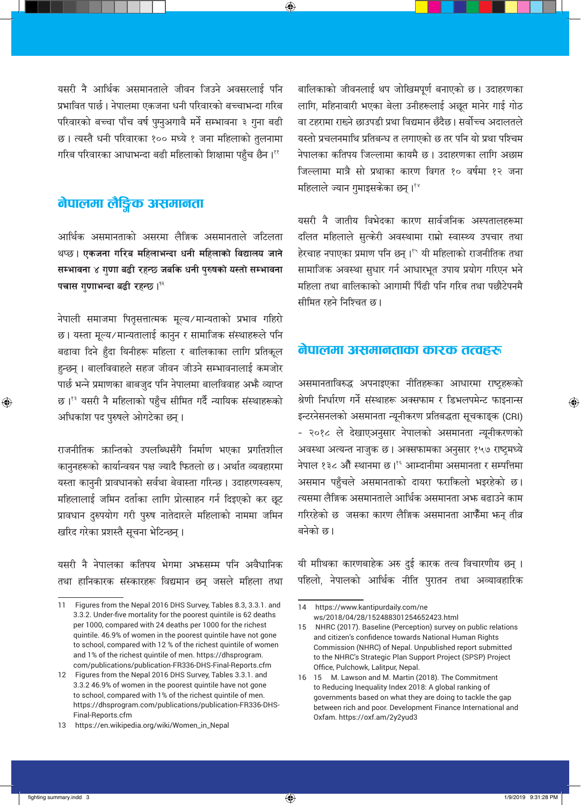यसरी नै आर्थिक असमानताले जीवन जिउने अवसरलाई पनि प्रभावित पार्छ। नेपालमा एकजना धनी परिवारको बच्चाभन्दा गरिब परिवारको बच्चा पाँच वर्ष पुमुआगावै मर्ने सम्भावना ३ गुना बढी छ। त्यस्तै धनी परिवारका १०० मध्ये १ जना महिलाको तुलनामा गरिब परिवारका आधाभन्दा बढी महिलाको शिक्षामा पहुँच छैन। ११

⊕

## नेपालमा लैङ्गिक असमानता

आर्थिक असमानताको असरमा लैङ्गिक असमानताले जटिलता थप्छ। एकजना गरिब महिलाभन्दा धनी महिलाको विद्यालय जाने सम्भावना ४ गुणा बढी रहन्छ जबकि धनी पुरुषको यस्तो सम्भावना पचास गुणाभन्दा बढी रहन्छ ।<sup>12</sup>

नेपाली समाजमा पितृसत्तात्मक मूल्य/मान्यताको प्रभाव गहिरो छ। यस्ता मूल्य/मान्यतालाई कानुन र सामाजिक संस्थाहरूले पनि बढावा दिने हुँदा यिनीहरू महिला र बालिकाका लागि प्रतिकूल हुन्छन् । बालविवाहले सहज जीवन जीउने सम्भावनालाई कमजोर पार्छ भन्ने प्रमाणका बाबजुद पनि नेपालमा बालविवाह अभै व्याप्त छ।<sup>१३</sup> यसरी नै महिलाको पहुँच सीमित गर्दै न्यायिक संस्थाहरूको अधिकांश पद पुरुषले ओगटेका छन्।

राजनीतिक ऋान्तिको उपलब्धिसँगै निर्माण भएका प्रगतिशील कानुनहरूको कार्यान्वयन पक्ष ज्यादै फितलो छ। अर्थात व्यवहारमा यस्ता कानुनी प्रावधानको सर्वथा बेवास्ता गरिन्छ। उदाहरणस्वरूप, महिलालाई जमिन दर्ताका लागि प्रोत्साहन गर्न दिइएको कर छूट प्रावधान दुरुपयोग गरी पुरुष नातेदारले महिलाको नाममा जमिन खरिद गरेका प्रशस्तै सूचना भेटिन्छन्।

यसरी नै नेपालका कतिपय भेगमा अफसम्म पनि अवैधानिक तथा हानिकारक संस्कारहरू विद्यमान छन् जसले महिला तथा

बालिकाको जीवनलाई थप जोखिमपूर्ण बनाएको छ। उदाहरणका लागि, महिनावारी भएका बेला उनीहरूलाई अछूत मानेर गाई गोठ वा टहरामा राख्ने छाउपडी प्रथा विद्यमान छँदैछ। सर्वोच्च अदालतले यस्तो प्रचलनमाथि प्रतिबन्ध त लगाएको छ तर पनि यो प्रथा पश्चिम नेपालका कतिपय जिल्लामा कायमै छ। उदाहरणका लागि अछाम जिल्लामा मात्रै सो प्रथाका कारण विगत १० वर्षमा १२ जना महिलाले ज्यान गुमाइसकेका छन्। १४

यसरी नै जातीय विभेदका कारण सार्वजनिक अस्पतालहरूमा दलित महिलाले सुत्केरी अवस्थामा राम्रो स्वास्थ्य उपचार तथा हेरचाह नपाएका प्रमाण पनि छन्।<sup>१५</sup> यी महिलाको राजनीतिक तथा सामाजिक अवस्था सुधार गर्न आधारभूत उपाय प्रयोग गरिएन भने महिला तथा बालिकाको आगामी पिँढी पनि गरिब तथा पछौटेपनमै सीमित रहने निश्चित छ।

#### नेपालमा असमानताका कारक तत्वहरू

असमानताविरुद्ध अपनाइएका नीतिहरूका आधारमा राष्ट्रहरूको श्रेणी निर्धारण गर्ने संस्थाहरू अक्सफाम र डिभलपमेन्ट फाइनान्स इन्टरनेसनलको असमानता न्यूनीकरण प्रतिबद्धता सूचकाङ्क (CRI) - २०१८ ले देखाएअनुसार नेपालको असमानता न्यूनीकरणको अवस्था अत्यन्त नाजुक छ। अक्सफामका अनुसार १५७ राष्ट्रमध्ये नेपाल १३८ औँ स्थानमा छ।<sup>१६</sup> आम्दानीमा असमानता र सम्पत्तिमा असमान पहुँचले असमानताको दायरा फराकिलो भइरहेको छ। त्यसमा लैङ्गिक असमानताले आर्थिक असमानता अभ्रु बढाउने काम गरिरहेको छ जसका कारण लैङ्गिक असमानता आफैँमा भन् तीव्र बनेको छ।

यी माीथका कारणबाहेक अरु दुई कारक तत्व विचारणीय छन् । पहिलो, नेपालको आर्थिक नीति पुरातन तथा अव्यावहारिक

 $\bigoplus$ 

⊕

 $11<sub>1</sub>$ Figures from the Nepal 2016 DHS Survey, Tables 8.3, 3.3.1. and 3.3.2. Under-five mortality for the poorest quintile is 62 deaths per 1000, compared with 24 deaths per 1000 for the richest quintile. 46.9% of women in the poorest quintile have not gone to school, compared with 12 % of the richest quintile of women and 1% of the richest quintile of men. https://dhsprogram. com/publications/publication-FR336-DHS-Final-Reports.cfm

<sup>12</sup> Figures from the Nepal 2016 DHS Survey, Tables 3.3.1. and 3.3.2 46.9% of women in the poorest quintile have not gone to school, compared with 1% of the richest quintile of men. https://dhsprogram.com/publications/publication-FR336-DHS-Final-Reports.cfm

<sup>13</sup> https://en.wikipedia.org/wiki/Women\_in\_Nepal

<sup>14</sup> https://www.kantipurdaily.com/ne ws/2018/04/28/152488301254652423.html

<sup>15</sup> NHRC (2017). Baseline (Perception) survey on public relations and citizen's confidence towards National Human Rights Commission (NHRC) of Nepal. Unpublished report submitted to the NHRC's Strategic Plan Support Project (SPSP) Project Office, Pulchowk, Lalitpur, Nepal.

<sup>16 15</sup> M. Lawson and M. Martin (2018). The Commitment to Reducing Inequality Index 2018: A global ranking of governments based on what they are doing to tackle the gap between rich and poor. Development Finance International and Oxfam. https://oxf.am/2y2yud3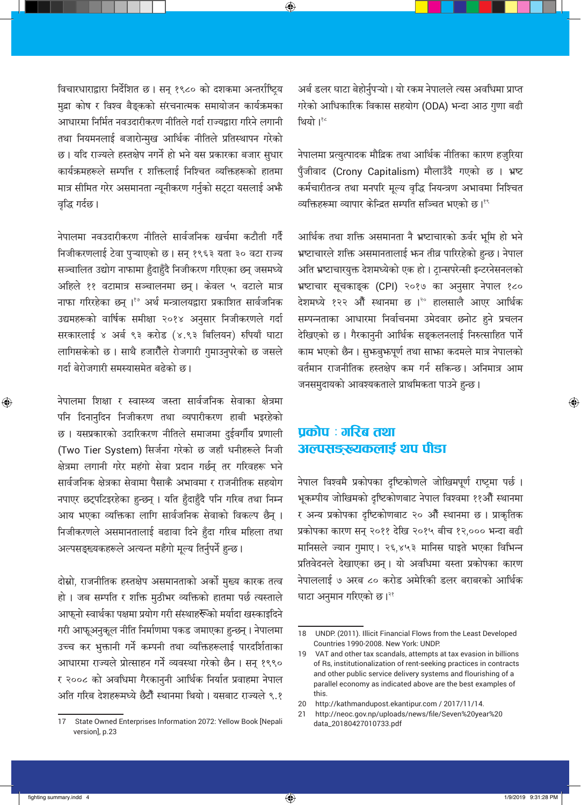विचारधाराद्वारा निर्देशित छ। सन् १९८० को दशकमा अन्तर्राष्ट्रिय मुद्रा कोष र विश्व बैङ्कको संरचनात्मक समायोजन कार्यक्रमका आधारमा निर्मित नवउदारीकरण नीतिले गर्दा राज्यद्वारा गरिने लगानी तथा नियमनलाई बजारोन्मुख आर्थिक नीतिले प्रतिस्थापन गरेको छ। यदि राज्यले हस्तक्षेप नगर्ने हो भने यस प्रकारका बजार सुधार कार्यक्रमहरूले सम्पत्ति र शक्तिलाई निश्चित व्यक्तिहरूको हातमा मात्र सीमित गरेर असमानता न्यूनीकरण गर्नुको सट्टा यसलाई अभै वृद्धि गर्दछ।

नेपालमा नवउदारीकरण नीतिले सार्वजनिक खर्चमा कटौती गर्दै निजीकरणलाई टेवा पुऱ्याएको छ। सन् १९६३ यता ३० वटा राज्य सञ्चालित उद्योग नाफामा हुँदाहुँदै निजीकरण गरिएका छन् जसमध्ये अहिले ११ वटामात्र सञ्चालनमा छन्। केवल ५ वटाले मात्र नाफा गरिरहेका छन्। १७ अर्थ मन्त्रालयद्वारा प्रकाशित सार्वजनिक उद्यमहरूको वार्षिक समीक्षा २०१४ अनुसार निजीकरणले गर्दा सरकारलाई ४ अर्ब ९३ करोड (४.९३ बिलियन) रुपियाँ घाटा लागिसकेको छ। साथै हजारौँले रोजगारी गुमाउनुपरेको छ जसले गर्दा बेरोजगारी समस्यासमेत बढेको छ।

नेपालमा शिक्षा र स्वास्थ्य जस्ता सार्वजनिक सेवाका क्षेत्रमा पनि दिनानुदिन निजीकरण तथा व्यपारीकरण हाबी भइरहेको छ। यसप्रकारको उदारिकरण नीतिले समाजमा दुईवर्गीय प्रणाली (Two Tier System) सिर्जना गरेको छ जहाँ धनीहरूले निजी क्षेत्रमा लगानी गरेर महंगो सेवा प्रदान गर्छन् तर गरिवहरू भने सार्वजनिक क्षेत्रका सेवामा पैसाकै अभावमा र राजनीतिक सहयोग नपाएर छट्पटिइरहेका हुन्छन् । यति हुँदाहुँदै पनि गरिब तथा निम्न आय भएका व्यक्तिका लागि सार्वजनिक सेवाको विकल्प छैन् । निजीकरणले असमानतालाई बढावा दिने हुँदा गरिब महिला तथा अल्पसङ्ख्यकहरूले अत्यन्त महँगो मूल्य तिर्नुपर्ने हुन्छ।

दोम्रो, राजनीतिक हस्तक्षेप असमानताको अर्को मुख्य कारक तत्व हो । जब सम्पति र शक्ति मुठीभर व्यक्तिको हातमा पर्छ त्यस्ताले आफुनो स्वार्थका पक्षमा प्रयोग गरी संस्थाह**रू**को मर्यादा खस्काइदिने गरी आफूअनुकूल नीति निर्माणमा पकड जमाएका हुन्छन्। नेपालमा उच्च कर भुक्तानी गर्ने कम्पनी तथा व्यक्तिहरूलाई पारदर्शिताका आधारमा राज्यले प्रोत्साहन गर्ने व्यवस्था गरेको छैन । सन् १९९० र २००८ को अवधिमा गैरकानुनी आर्थिक निर्यात प्रवाहमा नेपाल अति गरिब देशहरूमध्ये छैटौँ स्थानमा थियो । यसबाट राज्यले ९.१

अर्ब डलर घाटा बेहोर्नुपऱ्यो। यो रकम नेपालले त्यस अवधिमा प्राप्त गरेको आधिकारिक विकास सहयोग (ODA) भन्दा आठ गुणा बढी थियो। १८

⊕

नेपालमा प्रत्युत्पादक मौद्रिक तथा आर्थिक नीतिका कारण हजुरिया पुँजीवाद (Crony Capitalism) मौलाउँदै गएको छ । भ्रष्ट कर्मचारीतन्त्र तथा मनपरि मूल्य वृद्धि नियन्त्रण अभावमा निश्चित व्यक्तिहरूमा व्यापार केन्द्रित सम्पति सञ्चित भएको छ।

आर्थिक तथा शक्ति असमानता नै भ्रष्टाचारको ऊर्वर भूमि हो भने भ्रष्टाचारले शक्ति असमानतालाई भन तीव्र पारिरहेको हुन्छ। नेपाल अति भ्रष्टाचारयुक्त देशमध्येको एक हो। टान्सपरेन्सी इन्टरनेसनलको भ्रष्टाचार सूचकाङ्क (CPI) २०१७ का अनुसार नेपाल १८० देशमध्ये १२२ औँ स्थानमा छ ।<sup>२०</sup> हालसालै आएर आर्थिक सम्पन्नताका आधारमा निर्वाचनमा उमेदवार छनोट हुने प्रचलन देखिएको छ। गैरकानुनी आर्थिक सङ्कलनलाई निरुत्साहित पार्ने काम भएको छैन। सुभज्जुभ्रुपूर्ण तथा साभ्रा कदमले मात्र नेपालको वर्तमान राजनीतिक हस्तक्षेप कम गर्न सकिन्छ। अनिमात्र आम जनसमुदायको आवश्यकताले प्राथमिकता पाउने हुन्छ।

# पकोप : गरिब तथा अल्पसङ्ख्यकलाई थप पीडा

नेपाल विश्वमै प्रकोपका दृष्टिकोणले जोखिमपूर्ण राष्ट्रमा पर्छ। भुकम्पीय जोखिमको दृष्टिकोणबाट नेपाल विश्वमा ११औँ स्थानमा र अन्य प्रकोपका दृष्टिकोणबाट २० औँ स्थानमा छ। प्राकृतिक प्रकोपका कारण सन् २०११ देखि २०१५ बीच १२,००० भन्दा बढी मानिसले ज्यान गुमाए। २६,४५३ मानिस घाइते भएका विभिन्न प्रतिवेदनले देखाएका छन्। यो अवधिमा यस्ता प्रकोपका कारण नेपाललाई ७ अरब ८० करोड अमेरिकी डलर बराबरको आर्थिक घाटा अनुमान गरिएको छ।<sup>२१</sup>

 $\bigoplus$ 

State Owned Enterprises Information 2072: Yellow Book [Nepali  $17$ version], p.23

<sup>18</sup> UNDP. (2011). Illicit Financial Flows from the Least Developed Countries 1990-2008. New York: UNDP.

 $19$ VAT and other tax scandals, attempts at tax evasion in billions of Rs, institutionalization of rent-seeking practices in contracts and other public service delivery systems and flourishing of a parallel economy as indicated above are the best examples of this.

<sup>20</sup> http://kathmandupost.ekantipur.com / 2017/11/14.

http://neoc.gov.np/uploads/news/file/Seven%20year%20  $21$ data\_20180427010733.pdf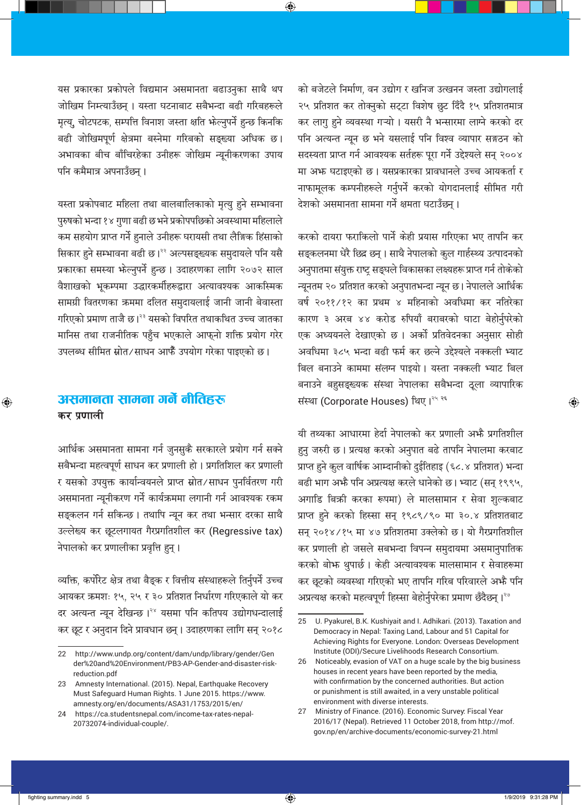यस प्रकारका प्रकोपले विद्यमान असमानता बढाउनुका साथै थप जोखिम निम्त्याउँछन् । यस्ता घटनाबाट सबैभन्दा बढी गरिबहरूले मृत्य्, चोटपटक, सम्पत्ति विनाश जस्ता क्षति भेल्नुपर्ने हुन्छ किनकि बढी जोखिमपूर्ण क्षेत्रमा बस्नेमा गरिबको सङ्ख्या अधिक छ। अभावका बीच बाँचिरहेका उनीहरू जोखिम न्यूनीकरणका उपाय पनि कमैमात्र अपनाउँछन्।

⊕

यस्ता प्रकोपबाट महिला तथा बालबालिकाको मृत्यु हुने सम्भावना पुरुषको भन्दा १४ गुणा बढी छ भने प्रकोपपछिको अवस्थामा महिलाले कम सहयोग प्राप्त गर्ने हुनाले उनीहरू घरायसी तथा लैङ्गिक हिंसाको सिकार हुने सम्भावना बढी छ।<sup>22</sup> अल्पसङ्ख्यक समुदायले पनि यसै प्रकारका समस्या भेल्नुपर्ने हुन्छ। उदाहरणका लागि २०७२ साल वैशाखको भूकम्पमा उद्धारकर्मीहरूद्वारा अत्यावश्यक आकस्मिक सामग्री वितरणका ऋममा दलित समुदायलाई जानी जानी बेवास्ता गरिएको प्रमाण ताजै छ।<sup>२३</sup> यसको विपरित तथाकथित उच्च जातका मानिस तथा राजनीतिक पहुँच भएकाले आफ्नो शक्ति प्रयोग गरेर उपलब्ध सीमित स्रोत⁄साधन आफैँ उपयोग गरेका पाइएको छ।

## असमानता सामना गर्ने नीतिहरू कर प्रणाली

आर्थिक असमानता सामना गर्न जुनसुकै सरकारले प्रयोग गर्न सक्ने सबैभन्दा महत्वपूर्ण साधन कर प्रणाली हो। प्रगतिशिल कर प्रणाली र यसको उपयुक्त कार्यान्वयनले प्राप्त स्रोत⁄साधन पुनर्वितरण गरी असमानता न्यूनीकरण गर्ने कार्यक्रममा लगानी गर्न आवश्यक रकम सङ्कलन गर्न सकिन्छ । तथापि न्यून कर तथा भन्सार दरका साथै उल्लेख्य कर छूटलगायत गैरप्रगतिशील कर (Regressive tax) नेपालको कर प्रणालीका प्रवृत्ति हुन्।

व्यक्ति, कर्पोरेट क्षेत्र तथा बैङ्क र वित्तीय संस्थाहरूले तिर्नुपर्ने उच्च आयकर ऋमशः १५, २५ र ३० प्रतिशत निर्धारण गरिएकाले यो कर दर अत्यन्त न्यून देखिन्छ।<sup>२४</sup> यसमा पनि कतिपय उद्योगधन्दालाई कर छूट र अनुदान दिने प्रावधान छन्। उदाहरणका लागि सन् २०१८

को बजेटले निर्माण, वन उद्योग र खनिज उत्खनन जस्ता उद्योगलाई २५ प्रतिशत कर तोक्नुको सट्टा विशेष छुट दिँदै १५ प्रतिशतमात्र कर लागु हुने व्यवस्था गऱ्यो । यसरी नै भन्सारमा लाग्ने करको दर पनि अत्यन्त न्यून छ भने यसलाई पनि विश्व व्यापार सङ्गठन को सदस्यता प्राप्त गर्न आवश्यक सर्तहरू पूरा गर्ने उद्देश्यले सन् २००४ मा अभ्र घटाइएको छ। यसप्रकारका प्रावधानले उच्च आयकर्ता र नाफामूलक कम्पनीहरूले गर्नुपर्ने करको योगदानलाई सीमित गरी देशको असमानता सामना गर्ने क्षमता घटाउँछन्।

करको दायरा फराकिलो पार्ने केही प्रयास गरिएका भए तापनि कर सङ्कलनमा धेरै छिद्र छन्। साथै नेपालको कुल गार्हस्थ्य उत्पादनको अनुपातमा संयुक्त राष्ट्र सङ्घले विकासका लक्ष्यहरू प्राप्त गर्न तोकेको न्यूनतम २० प्रतिशत करको अनुपातभन्दा न्यून छ। नेपालले आर्थिक वर्ष २०११/१२ का प्रथम ४ महिनाको अवधिमा कर नतिरेका कारण ३ अरब ४४ करोड रुपियाँ बराबरको घाटा बेहोर्नुपरेको एक अध्ययनले देखाएको छ। अर्को प्रतिवेदनका अनुसार सोही अवधिमा ३८५ भन्दा बढी फर्म कर छल्ने उद्देश्यले नक्कली भ्याट बिल बनाउने काममा संलग्न पाइयो। यस्ता नक्कली भ्याट बिल बनाउने बहुसङ्ख्यक संस्था नेपालका सबैभन्दा ठूला व्यापारिक संस्था (Corporate Houses) थिए।<sup>२५ २६</sup>

यी तथ्यका आधारमा हेर्दा नेपालको कर प्रणाली अभ्है प्रगतिशील हुनु जरुरी छ। प्रत्यक्ष करको अनुपात बढे तापनि नेपालमा करबाट प्राप्त हुने कुल वार्षिक आम्दानीको दुईतिहाइ (६८.४ प्रतिशत) भन्दा बढी भाग अभै पनि अप्रत्यक्ष करले धानेको छ। भ्याट (सन् १९९५, अगाडि बिक्री करका रूपमा) ले मालसामान र सेवा शुल्कबाट प्राप्त हुने करको हिस्सा सन् १९८९/९० मा ३०.४ प्रतिशतबाट सन् २०१४/१५ मा ४७ प्रतिशतमा उक्लेको छ। यो गैरप्रगतिशील कर प्रणाली हो जसले सबभन्दा विपन्न समुदायमा असमानुपातिक करको बोभ्रु थुपार्छ। केही अत्यावश्यक मालसामान र सेवाहरूमा कर छूटको व्यवस्था गरिएको भए तापनि गरिब परिवारले अभै पनि अप्रत्यक्ष करको महत्वपूर्ण हिस्सा बेहोर्नुपरेका प्रमाण छँदैछन्। २७

 $\bigoplus$ 

⊕

<sup>22</sup> http://www.undp.org/content/dam/undp/library/gender/Gen der%20and%20Environment/PB3-AP-Gender-and-disaster-riskreduction.pdf

<sup>23</sup> Amnesty International. (2015). Nepal, Earthquake Recovery Must Safeguard Human Rights. 1 June 2015. https://www. amnesty.org/en/documents/ASA31/1753/2015/en/

<sup>24</sup> https://ca.studentsnepal.com/income-tax-rates-nepal-20732074-individual-couple/.

<sup>25</sup> U. Pyakurel, B.K. Kushiyait and I. Adhikari. (2013). Taxation and Democracy in Nepal: Taxing Land, Labour and 51 Capital for Achieving Rights for Everyone. London: Overseas Development Institute (ODI)/Secure Livelihoods Research Consortium.

<sup>26</sup> Noticeably, evasion of VAT on a huge scale by the big business houses in recent years have been reported by the media, with confirmation by the concerned authorities. But action or punishment is still awaited, in a very unstable political environment with diverse interests.

Ministry of Finance. (2016). Economic Survey: Fiscal Year 27 2016/17 (Nepal). Retrieved 11 October 2018, from http://mof. gov.np/en/archive-documents/economic-survey-21.html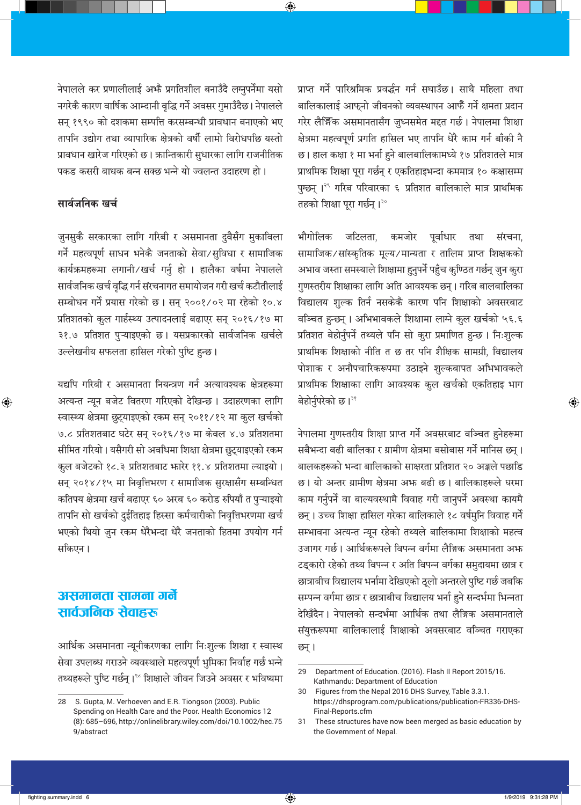नेपालले कर प्रणालीलाई अभ्रै प्रगतिशील बनाउँदै लम्नुपर्नेमा यसो नगरेकै कारण वार्षिक आम्दानी वृद्धि गर्ने अवसर गुमाउँदैछ। नेपालले सन् १९९० को दशकमा सम्पत्ति करसम्बन्धी प्रावधान बनाएको भए तापनि उद्योग तथा व्यापारिक क्षेत्रको वर्षौ लामो विरोधपछि यस्तो प्रावधान खारेज गरिएको छ। ऋान्तिकारी सुधारका लागि राजनीतिक पकड कसरी बाधक बन्न सक्छ भन्ने यो ज्वलन्त उदाहरण हो।

⊕

### सार्वजनिक खर्च

⊕

जुनसुकै सरकारका लागि गरिबी र असमानता दुवैसँग मुकाविला गर्ने महत्वपूर्ण साधन भनेकै जनताको सेवा/सुविधा र सामाजिक कार्यक्रमहरूमा लगानी/खर्च गर्नु हो । हालैका वर्षमा नेपालले सार्वजनिक खर्च वृद्धि गर्न संरचनागत समायोजन गरी खर्च कटौतीलाई सम्बोधन गर्ने प्रयास गरेको छ। सन् २००१/०२ मा रहेको १०.४ प्रतिशतको कुल गार्हस्थ्य उत्पादनलाई बढाएर सन् २०१६/१७ मा ३१.७ प्रतिशत पुऱ्याइएको छ। यसप्रकारको सार्वजनिक खर्चले उल्लेखनीय सफलता हासिल गरेको पुष्टि हुन्छ।

यद्यपि गरिबी र असमानता नियन्त्रण गर्न अत्यावश्यक क्षेत्रहरूमा अत्यन्त न्यून बजेट वितरण गरिएको देखिन्छ। उदाहरणका लागि स्वास्थ्य क्षेत्रमा छुट्याइएको रकम सन् २०११/१२ मा कुल खर्चको ७.८ प्रतिशतबाट घटेर सन् २०१६/१७ मा केवल ४.७ प्रतिशतमा सीमित गरियो। यसैगरी सो अवधिमा शिक्षा क्षेत्रमा छुट्याइएको रकम कुल बजेटको १८.३ प्रतिशतबाट भारेर ११.४ प्रतिशतमा ल्याइयो। सन् २०१४/१५ मा निवृत्तिभरण र सामाजिक सुरक्षासँग सम्बन्धित कतिपय क्षेत्रमा खर्च बढाएर ६० अरब ६० करोड रुपियाँ त पुऱ्याइयो तापनि सो खर्चको दुईतिहाइ हिस्सा कर्मचारीको निवृत्तिभरणमा खर्च भएको थियो जुन रकम धेरैभन्दा धेरै जनताको हितमा उपयोग गर्न सकिएन।

## असमानता सामना गर्ने सार्वजनिक सेवाहरू

आर्थिक असमानता न्यूनीकरणका लागि निःशुल्क शिक्षा र स्वास्थ सेवा उपलब्ध गराउने व्यवस्थाले महत्वपूर्ण भुमिका निर्वाह गर्छ भन्ने तथ्यहरूले पुष्टि गर्छन्।<sup>26</sup> शिक्षाले जीवन जिउने अवसर र भविष्यमा प्राप्त गर्ने पारिश्रमिक प्रवर्द्धन गर्न सघाउँछ। साथै महिला तथा बालिकालाई आफ्नो जीवनको व्यवस्थापन आफैँ गर्ने क्षमता प्रदान गरेर लैर्झिक असमानतासँग जुध्नसमेत मद्दत गर्छ। नेपालमा शिक्षा क्षेत्रमा महत्वपूर्ण प्रगति हासिल भए तापनि धेरै काम गर्न बाँकी नै छ। हाल कक्षा १ मा भर्ना हुने बालबालिकामध्ये १७ प्रतिशतले मात्र प्राथमिक शिक्षा पूरा गर्छन् र एकतिहाइभन्दा कममात्र १० कक्षासम्म पुग्छन् ।<sup>२९</sup> गरिब परिवारका ६ प्रतिशत बालिकाले मात्र प्राथमिक तहको शिक्षा पूरा गर्छन्।<sup>३०</sup>

जटिलता, कमजोर पूर्वाधार तथा संरचना, भौगोलिक सामाजिक/सांस्कृतिक मूल्य/मान्यता र तालिम प्राप्त शिक्षकको अभाव जस्ता समस्याले शिक्षामा हुनुपर्ने पहुँच कुण्ठित गर्छन् जुन कुरा गुणस्तरीय शिक्षाका लागि अति आवश्यक छन्। गरिब बालबालिका विद्यालय शुल्क तिर्न नसकेकै कारण पनि शिक्षाको अवसरबाट वञ्चित हुन्छन्। अभिभावकले शिक्षामा लामे कुल खर्चको ५६.६ प्रतिशत बेहोर्नुपर्ने तथ्यले पनि सो कुरा प्रमाणित हुन्छ। निःशुल्क प्राथमिक शिक्षाको नीति त छ तर पनि शैक्षिक सामग्री, विद्यालय पोशाक र अनौपचारिकरूपमा उठाइने शुल्कबापत अभिभावकले प्राथमिक शिक्षाका लागि आवश्यक कुल खर्चको एकतिहाइ भाग बेहोर्नुपरेको छ।<sup>३१</sup>

नेपालमा गुणस्तरीय शिक्षा प्राप्त गर्ने अवसरबाट वञ्चित हुनेहरूमा सबैभन्दा बढी बालिका र ग्रामीण क्षेत्रमा बसोबास गर्ने मानिस छन्। बालकहरूको भन्दा बालिकाको साक्षरता प्रतिशत २० अङ्कले पछाडि छ। यो अन्तर ग्रामीण क्षेत्रमा अफ बढी छ। बालिकाहरूले घरमा काम गर्नुपर्ने वा बाल्यवस्थामै विवाह गरी जानुपर्ने अवस्था कायमै छन्। उच्च शिक्षा हासिल गरेका बालिकाले १८ वर्षमुनि विवाह गर्ने सम्भावना अत्यन्त न्यून रहेको तथ्यले बालिकामा शिक्षाको महत्व उजागर गर्छ। आर्थिकरूपले विपन्न वर्गमा लैङ्गिक असमानता अभ्रु टड्कारो रहेको तथ्य विपन्न र अति विपन्न वर्गका समुदायमा छात्र र छात्राबीच विद्यालय भर्नामा देखिएको ठूलो अन्तरले पुष्टि गर्छ जबकि सम्पन्न वर्गमा छात्र र छात्राबीच विद्यालय भर्ना हुने सन्दर्भमा भिन्नता देखिँदैन। नेपालको सन्दर्भमा आर्थिक तथा लैङ्गिक असमानताले संयुक्तरूपमा बालिकालाई शिक्षाको अवसरबाट वञ्चित गराएका छन् ।

⊕

 $\bigoplus$ 

<sup>28</sup> S. Gupta, M. Verhoeven and E.R. Tiongson (2003). Public Spending on Health Care and the Poor. Health Economics 12 (8): 685-696, http://onlinelibrary.wiley.com/doi/10.1002/hec.75 9/abstract

<sup>29</sup> Department of Education. (2016). Flash II Report 2015/16. Kathmandu: Department of Education

<sup>30</sup> Figures from the Nepal 2016 DHS Survey, Table 3.3.1. https://dhsprogram.com/publications/publication-FR336-DHS-Final-Reports.cfm

These structures have now been merged as basic education by 31 the Government of Nepal.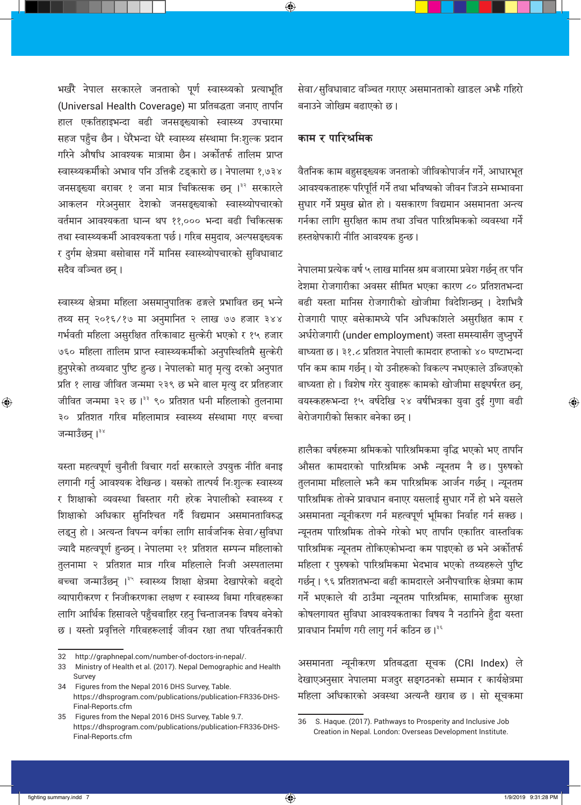भर्खरै नेपाल सरकारले जनताको पूर्ण स्वास्थ्यको प्रत्याभूति (Universal Health Coverage) मा प्रतिबद्धता जनाए तापनि हाल एकतिहाइभन्दा बढी जनसङ्ख्याको स्वास्थ्य उपचारमा सहज पहुँच छैन । धेरैभन्दा धेरै स्वास्थ्य संस्थामा निःशुल्क प्रदान गरिने औषधि आवश्यक मात्रामा छैन। अर्कोतर्फ तालिम प्राप्त स्वास्थ्यकर्मीको अभाव पनि उत्तिकै टड्कारो छ। नेपालमा १,७३४ जनसङ्ख्या बराबर १ जना मात्र चिकित्सक छन् ।<sup>३२</sup> सरकारले आकलन गरेअनुसार देशको जनसङ्ख्याको स्वास्थ्योपचारको वर्तमान आवश्यकता धान्न थप ११,००० भन्दा बढी चिकित्सक तथा स्वास्थ्यकर्मी आवश्यकता पर्छ। गरिब समुदाय, अल्पसङ्ख्यक र दुर्गम क्षेत्रमा बसोबास गर्ने मानिस स्वास्थ्योपचारको सुविधाबाट सदैव वञ्चित छन् ।

स्वास्थ्य क्षेत्रमा महिला असमानुपातिक ढङ्गले प्रभावित छन् भन्ने तथ्य सन् २०१६/१७ मा अनुमानित २ लाख ७७ हजार ३४४ गर्भवती महिला असुरक्षित तरिकाबाट सुत्केरी भएको र १५ हजार ७६० महिला तालिम प्राप्त स्वास्थ्यकर्मीको अनुपस्थितिमै सुत्केरी हुनुपरेको तथ्यबाट पुष्टि हुन्छ। नेपालको मातृ मृत्यु दरको अनुपात प्रति १ लाख जीवित जन्ममा २३९ छ भने बाल मृत्यु दर प्रतिहजार जीवित जन्ममा ३२ छ।<sup>३३</sup> ९० प्रतिशत धनी महिलाको तुलनामा ३० प्रतिशत गरिब महिलामात्र स्वास्थ्य संस्थामा गएर बच्चा जन्माउँछन् ।<sup>३४</sup>

यस्ता महत्वपूर्ण चुनौती विचार गर्दा सरकारले उपयुक्त नीति बनाइ लगानी गर्नु आवश्यक देखिन्छ। यसको तात्पर्य निःशुल्क स्वास्थ्य र शिक्षाको व्यवस्था बिस्तार गरी हरेक नेपालीको स्वास्थ्य र शिक्षाको अधिकार सुनिश्चित गर्दै विद्यमान असमानताविरुद्ध लड्नु हो। अत्यन्त विपन्न वर्गका लागि सार्वजनिक सेवा/सुविधा ज्यादै महत्वपूर्ण हुन्छन् । नेपालमा २१ प्रतिशत सम्पन्न महिलाको तुलनामा २ प्रतिशत मात्र गरिब महिलाले निजी अस्पतालमा बच्चा जन्माउँछन् ।<sup>३५</sup> स्वास्थ्य शिक्षा क्षेत्रमा देखापरेको बढ्दो व्यापारीकरण र निजीकरणका लक्षण र स्वास्थ्य बिमा गरिबहरूका लागि आर्थिक हिसावले पहुँचबाहिर रहनु चिन्ताजनक विषय बनेको छ। यस्तो प्रवृत्तिले गरिबहरूलाई जीवन रक्षा तथा परिवर्तनकारी

सेवा/सुविधाबाट वञ्चित गराएर असमानताको खाडल अभ्रै गहिरो बनाउने जोखिम बढाएको छ।

#### काम र पारिश्रमिक

⊕

वैतनिक काम बहुसङ्ख्यक जनताको जीविकोपार्जन गर्ने, आधारभूत आवश्यकताहरू परिपूर्ति गर्ने तथा भविष्यको जीवन जिउने सम्भावना सुधार गर्ने प्रमुख स्रोत हो । यसकारण विद्यमान असमानता अन्त्य गर्नका लागि सुरक्षित काम तथा उचित पारिश्रमिकको व्यवस्था गर्ने हस्तक्षेपकारी नीति आवश्यक हुन्छ।

नेपालमा प्रत्येक वर्ष ५ लाख मानिस श्रम बजारमा प्रवेश गर्छन् तर पनि देशमा रोजगारीका अवसर सीमित भएका कारण ८० प्रतिशतभन्दा बढी यस्ता मानिस रोजगारीको खोजीमा विदेशिन्छन् । देशभित्रै रोजगारी पाएर बसेकामध्ये पनि अधिकांशले असुरक्षित काम र अर्धरोजगारी (under employment) जस्ता समस्यासँग जुध्नुपर्ने बाध्यता छ। ३१.८ प्रतिशत नेपाली कामदार हप्ताको ४० घण्टाभन्दा पनि कम काम गर्छन् । यो उनीहरूको विकल्प नभएकाले उब्जिएको बाध्यता हो । विशेष गरेर युवाहरू कामको खोजीमा सङ्घर्षरत छन्, वयस्कहरूभन्दा १५ वर्षदेखि २४ वर्षभित्रका युवा दुई गुणा बढी बेरोजगारीको सिकार बनेका छन्।

हालैका वर्षहरूमा श्रमिकको पारिश्रमिकमा वृद्धि भएको भए तापनि औसत कामदारको पारिश्रमिक अभै न्यूनतम नै छ। पुरुषको तुलनामा महिलाले भन्नै कम पारिश्रमिक आर्जन गर्छन् । न्यूनतम पारिश्रमिक तोक्ने प्रावधान बनाएर यसलाई सुधार गर्ने हो भने यसले असमानता न्यूनीकरण गर्न महत्वपूर्ण भूमिका निर्वाह गर्न सक्छ । न्यूनतम पारिश्रमिक तोक्ने गरेको भए तापनि एकातिर वास्तविक पारिश्रमिक न्यूनतम तोकिएकोभन्दा कम पाइएको छ भने अर्कोतर्फ महिला र पुरुषको पारिश्रमिकमा भेदभाव भएको तथ्यहरूले पुष्टि गर्छन् । ९६ प्रतिशतभन्दा बढी कामदारले अनौपचारिक क्षेत्रमा काम गर्ने भएकाले यी ठाउँमा न्यूनतम पारिश्रमिक, सामाजिक सुरक्षा कोषलगायत सुविधा आवश्यकताका विषय नै नठानिने हुँदा यस्ता प्रावधान निर्माण गरी लागु गर्न कठिन छ।<sup>३६</sup>

असमानता न्यूनीकरण प्रतिबद्धता सूचक (CRI Index) ले देखाएअनुसार नेपालमा मजदुर सङ्गठनको सम्मान र कार्यक्षेत्रमा महिला अधिकारको अवस्था अत्यन्तै खराब छ। सो सूचकमा

⊕

⊕

 $\bigoplus$ 

<sup>32</sup> http://graphnepal.com/number-of-doctors-in-nepal/.

Ministry of Health et al. (2017). Nepal Demographic and Health 33 Survey

Figures from the Nepal 2016 DHS Survey, Table. 34 https://dhsprogram.com/publications/publication-FR336-DHS-Final-Reports.cfm

Figures from the Nepal 2016 DHS Survey, Table 9.7. 35 https://dhsprogram.com/publications/publication-FR336-DHS-Final-Reports.cfm

S. Haque. (2017). Pathways to Prosperity and Inclusive Job 36 Creation in Nepal. London: Overseas Development Institute.